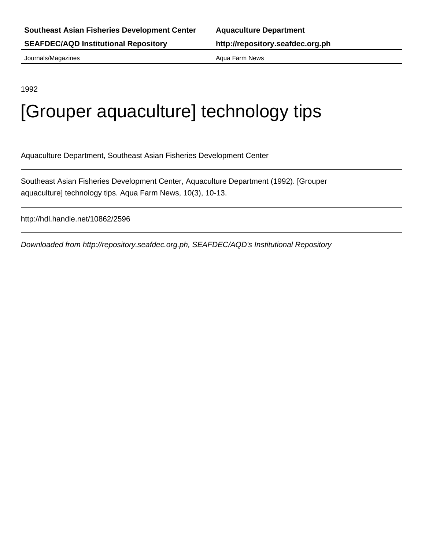Journals/Magazines **Aqua Farm News** Aqua Farm News

1992

# [Grouper aquaculture] technology tips

Aquaculture Department, Southeast Asian Fisheries Development Center

Southeast Asian Fisheries Development Center, Aquaculture Department (1992). [Grouper aquaculture] technology tips. Aqua Farm News, 10(3), 10-13.

http://hdl.handle.net/10862/2596

Downloaded from http://repository.seafdec.org.ph, SEAFDEC/AQD's Institutional Repository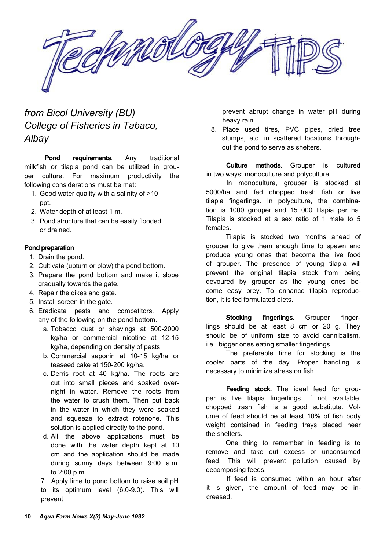

# *from Bicol University (BU) College of Fisheries in Tabaco, Albay*

**Pond requirements**. Any traditional milkfish or tilapia pond can be utilized in grouper culture. For maximum productivity the following considerations must be met:

- 1. Good water quality with a salinity of >10 ppt.
- 2. Water depth of at least 1 m.
- 3. Pond structure that can be easily flooded or drained.

#### **Pond preparation**

- 1. Drain the pond.
- 2. Cultivate (upturn or plow) the pond bottom.
- 3. Prepare the pond bottom and make it slope gradually towards the gate.
- 4. Repair the dikes and gate.
- 5. Install screen in the gate.
- 6. Eradicate pests and competitors. Apply any of the following on the pond bottom.
	- a. Tobacco dust or shavings at 500-2000 kg/ha or commercial nicotine at 12-15 kg/ha, depending on density of pests.
	- b. Commercial saponin at 10-15 kg/ha or teaseed cake at 150-200 kg/ha.
	- c. Derris root at 40 kg/ha. The roots are cut into small pieces and soaked overnight in water. Remove the roots from the water to crush them. Then put back in the water in which they were soaked and squeeze to extract rotenone. This solution is applied directly to the pond.
	- d. All the above applications must be done with the water depth kept at 10 cm and the application should be made during sunny days between 9:00 a.m. to 2:00 p.m.

7. Apply lime to pond bottom to raise soil pH to its optimum level (6.0-9.0). This will prevent

prevent abrupt change in water pH during heavy rain.

8. Place used tires, PVC pipes, dried tree stumps, etc. in scattered locations throughout the pond to serve as shelters.

**Culture methods**. Grouper is cultured in two ways: monoculture and polyculture.

In monoculture, grouper is stocked at 5000/ha and fed chopped trash fish or live tilapia fingerlings. In polyculture, the combination is 1000 grouper and 15 000 tilapia per ha. Tilapia is stocked at a sex ratio of 1 male to 5 females.

Tilapia is stocked two months ahead of grouper to give them enough time to spawn and produce young ones that become the live food of grouper. The presence of young tilapia will prevent the original tilapia stock from being devoured by grouper as the young ones become easy prey. To enhance tilapia reproduction, it is fed formulated diets.

**Stocking fingerlings**. Grouper fingerlings should be at least 8 cm or 20 g. They should be of uniform size to avoid cannibalism, i.e., bigger ones eating smaller fingerlings.

The preferable time for stocking is the cooler parts of the day. Proper handling is necessary to minimize stress on fish.

**Feeding stock.** The ideal feed for grouper is live tilapia fingerlings. If not available, chopped trash fish is a good substitute. Volume of feed should be at least 10% of fish body weight contained in feeding trays placed near the shelters.

One thing to remember in feeding is to remove and take out excess or unconsumed feed. This will prevent pollution caused by decomposing feeds.

If feed is consumed within an hour after it is given, the amount of feed may be increased.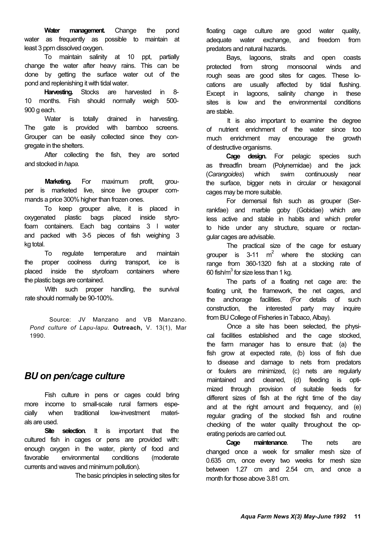**Water management.** Change the pond water as frequently as possible to maintain at least 3 ppm dissolved oxygen.

To maintain salinity at 10 ppt, partially change the water after heavy rains. This can be done by getting the surface water out of the pond and replenishing it with tidal water.

**Harvesting.** Stocks are harvested in 8- 10 months. Fish should normally weigh 500- 900 g each.

Water is totally drained in harvesting. The gate is provided with bamboo screens. Grouper can be easily collected since they congregate in the shelters.

After collecting the fish, they are sorted and stocked in *hapa.*

**Marketing.** For maximum profit, grouper is marketed live, since live grouper commands a price 300% higher than frozen ones.

To keep grouper alive, it is placed in oxygenated plastic bags placed inside styrofoam containers. Each bag contains 3 l water and packed with 3-5 pieces of fish weighing 3 kg total.

To regulate temperature and maintain the proper coolness during transport, ice is placed inside the styrofoam containers where the plastic bags are contained.

With such proper handling, the survival rate should normally be 90-100%.

*Pond culture of Lapu-lapu.* **Outreach,** V. 13(1), Mar 1990.

## *BU on pen/cage culture*

Fish culture in pens or cages could bring more income to small-scale rural farmers especially when traditional low-investment materials are used.

**Site selection.** It is important that the cultured fish in cages or pens are provided with: enough oxygen in the water, plenty of food and favorable environmental conditions (moderate currents and waves and minimum pollution).

The basic principles in selecting sites for

floating cage culture are good water quality, adequate water exchange, and freedom from predators and natural hazards.

Bays, lagoons, straits and open coasts protected from strong monsoonal winds and rough seas are good sites for cages. These locations are usually affected by tidal flushing. Except in lagoons, salinity change in these sites is low and the environmental conditions are stable.

It is also important to examine the degree of nutrient enrichment of the water since too much enrichment may encourage the growth of destructive organisms.

**Cage design.** For pelagic species such as threadfin bream (Polynemidae) and the jack (*Carangoides*) which swim continuously near the surface, bigger nets in circular or hexagonal cages may be more suitable.

For demersal fish such as grouper (Serrankfae) and marble goby (Gobidae) which are less active and stable in habits and which prefer to hide under any structure, square or rectangular cages are advisable.

The practical size of the cage for estuary grouper is 3-11  $m^2$  where the stocking can range from 360-1320 fish at a stocking rate of 60 fish/m $^3$  for size less than 1 kg.

The parts of a floating net cage are: the floating unit, the framework, the net cages, and the anchorage facilities. (For details of such construction, the interested party may inquire Source: JV Manzano and VB Manzano. from BU College of Fisheries in Tabaco, Albay).

Once a site has been selected, the physical facilities established and the cage stocked, the farm manager has to ensure that: (a) the fish grow at expected rate, (b) loss of fish due to disease and damage to nets from predators or foulers are minimized, (c) nets are regularly maintained and cleaned, (d) feeding is optimized through provision of suitable feeds for different sizes of fish at the right time of the day and at the right amount and frequency, and (e) regular grading of the stocked fish and routine checking of the water quality throughout the operating periods are carried out.

**Cage maintenance**. The nets are changed once a week for smaller mesh size of 0.635 cm, once every two weeks for mesh size between 1.27 cm and 2.54 cm, and once a month for those above 3.81 cm.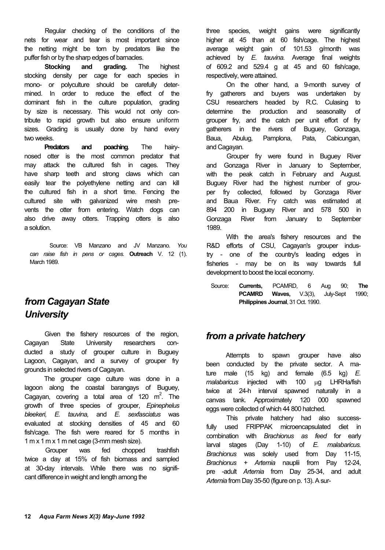Regular checking of the conditions of the nets for wear and tear is most important since the netting might be torn by predators like the puffer fish or by the sharp edges of barnacles.

**Stocking and grading.** The highest stocking density per cage for each species in mono- or polyculture should be carefully determined. In order to reduce the effect of the dominant fish in the culture population, grading by size is necessary. This would not only contribute to rapid growth but also ensure uniform sizes. Grading is usually done by hand every two weeks.

**Predators and poaching**. The hairynosed otter is the most common predator that may attack the cultured fish in cages. They have sharp teeth and strong claws which can easily tear the polyethylene netting and can kill the cultured fish in a short time. Fencing the cultured site with galvanized wire mesh prevents the otter from entering. Watch dogs can also drive away otters. Trapping otters is also a solution.

Source: VB Manzano and JV Manzano. *You can raise fish in pens or cages.* **Outreach** V. 12 (1). March 1989.

# *from Cagayan State University*

Given the fishery resources of the region, Cagayan State University researchers conducted a study of grouper culture in Buguey Lagoon, Cagayan, and a survey of grouper fry grounds in selected rivers of Cagayan.

The grouper cage culture was done in a lagoon along the coastal barangays of Buguey, Cagayan, covering a total area of 120  $m^2$ . The growth of three species of grouper, *Epinephelus bleekeri, E. tauvina,* and *E. sexfasciatus* was evaluated at stocking densities of 45 and 60 fish/cage. The fish were reared for 5 months in 1 m x 1 m x 1 m net cage (3-mm mesh size).

Grouper was fed chopped trashfish twice a day at 15% of fish biomass and sampled at 30-day intervals. While there was no significant difference in weight and length among the

three species, weight gains were significantly higher at 45 than at 60 fish/cage. The highest average weight gain of 101.53 g/month was achieved by *E. tauvina.* Average final weights of 609.2 and 529.4 g at 45 and 60 fish/cage, respectively, were attained.

On the other hand, a 9-month survey of fry gatherers and buyers was undertaken by CSU researchers headed by R.C. Culasing to determine the production and seasonality of grouper fry, and the catch per unit effort of fry gatherers in the rivers of Buguey, Gonzaga, Baua, Abulug, Pamplona, Pata, Cabicungan, and Cagayan.

Grouper fry were found in Buguey River and Gonzaga River in January to September, with the peak catch in February and August. Buguey River had the highest number of grouper fry collected, followed by Gonzaga River and Baua River. Fry catch was estimated at 894 200 in Buguey River and 578 500 in Gonzaga River from January to September 1989.

With the area's fishery resources and the R&D efforts of CSU, Cagayan's grouper industry - one of the country's leading edges in fisheries - may be on its way towards full development to boost the local economy.

Source: **Currents,** PCAMRD, 6 Aug 90; **The PCAMRD Waves,** V.3(3), July-Sept 1990; **Philippines Journal**, 31 Oct. 1990.

## *from a private hatchery*

Attempts to spawn grouper have also been conducted by the private sector. A mature male (15 kg) and female (6.5 kg) *E. malabaricus* injected with 100 µg LHRHa/fish twice at 24-h interval spawned naturally in a canvas tank. Approximately 120 000 spawned eggs were collected of which 44 800 hatched.

This private hatchery had also successfully used FRIPPAK microencapsulated diet in combination with *Brachionus as feed* for early larval stages (Day 1-10) of *E. malabaricus. Brachionus* was solely used from Day 11-15, *Brachionus + Artemia* nauplii from Pay 12-24, pre -adult *Artemia* from Day 25-34, and adult *Artemia* from Day 35-50 (figure on p. 13). A sur-